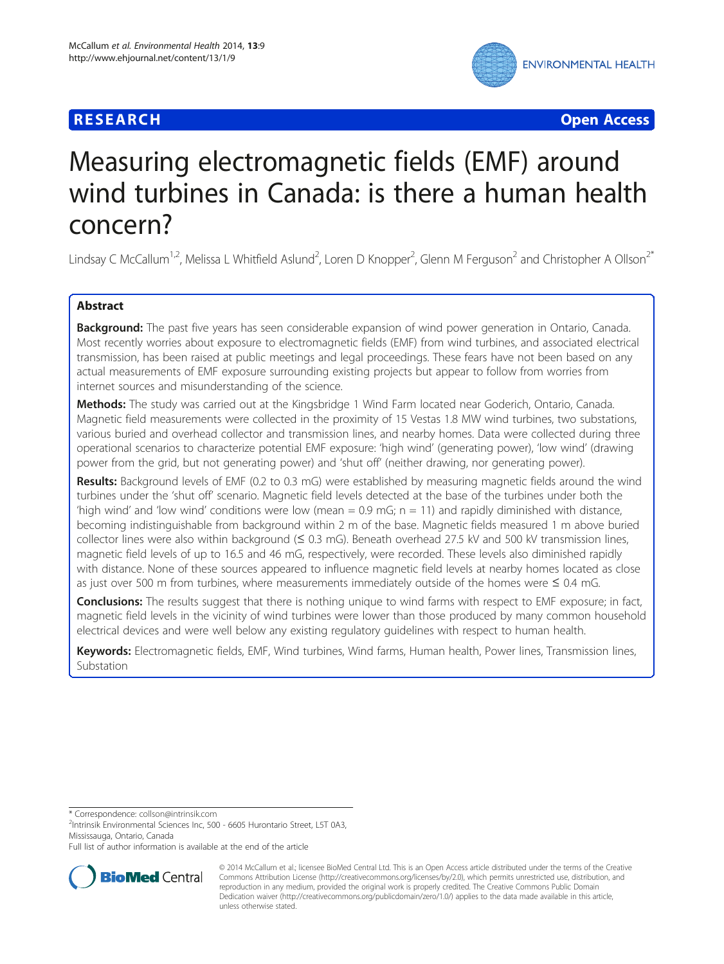# **RESEARCH CHE Open Access**



# Measuring electromagnetic fields (EMF) around wind turbines in Canada: is there a human health concern?

Lindsay C McCallum<sup>1,2</sup>, Melissa L Whitfield Aslund<sup>2</sup>, Loren D Knopper<sup>2</sup>, Glenn M Ferguson<sup>2</sup> and Christopher A Ollson<sup>2\*</sup>

# Abstract

Background: The past five years has seen considerable expansion of wind power generation in Ontario, Canada. Most recently worries about exposure to electromagnetic fields (EMF) from wind turbines, and associated electrical transmission, has been raised at public meetings and legal proceedings. These fears have not been based on any actual measurements of EMF exposure surrounding existing projects but appear to follow from worries from internet sources and misunderstanding of the science.

Methods: The study was carried out at the Kingsbridge 1 Wind Farm located near Goderich, Ontario, Canada. Magnetic field measurements were collected in the proximity of 15 Vestas 1.8 MW wind turbines, two substations, various buried and overhead collector and transmission lines, and nearby homes. Data were collected during three operational scenarios to characterize potential EMF exposure: 'high wind' (generating power), 'low wind' (drawing power from the grid, but not generating power) and 'shut off' (neither drawing, nor generating power).

Results: Background levels of EMF (0.2 to 0.3 mG) were established by measuring magnetic fields around the wind turbines under the 'shut off' scenario. Magnetic field levels detected at the base of the turbines under both the 'high wind' and 'low wind' conditions were low (mean  $= 0.9$  mG;  $n = 11$ ) and rapidly diminished with distance, becoming indistinguishable from background within 2 m of the base. Magnetic fields measured 1 m above buried collector lines were also within background ( $\leq 0.3$  mG). Beneath overhead 27.5 kV and 500 kV transmission lines, magnetic field levels of up to 16.5 and 46 mG, respectively, were recorded. These levels also diminished rapidly with distance. None of these sources appeared to influence magnetic field levels at nearby homes located as close as just over 500 m from turbines, where measurements immediately outside of the homes were ≤ 0.4 mG.

Conclusions: The results suggest that there is nothing unique to wind farms with respect to EMF exposure; in fact, magnetic field levels in the vicinity of wind turbines were lower than those produced by many common household electrical devices and were well below any existing regulatory guidelines with respect to human health.

Keywords: Electromagnetic fields, EMF, Wind turbines, Wind farms, Human health, Power lines, Transmission lines, Substation

\* Correspondence: [collson@intrinsik.com](mailto:collson@intrinsik.com) <sup>2</sup>

<sup>2</sup>Intrinsik Environmental Sciences Inc, 500 - 6605 Hurontario Street, L5T 0A3, Mississauga, Ontario, Canada

Full list of author information is available at the end of the article



© 2014 McCallum et al.; licensee BioMed Central Ltd. This is an Open Access article distributed under the terms of the Creative Commons Attribution License [\(http://creativecommons.org/licenses/by/2.0\)](http://creativecommons.org/licenses/by/2.0), which permits unrestricted use, distribution, and reproduction in any medium, provided the original work is properly credited. The Creative Commons Public Domain Dedication waiver [\(http://creativecommons.org/publicdomain/zero/1.0/](http://creativecommons.org/publicdomain/zero/1.0/)) applies to the data made available in this article, unless otherwise stated.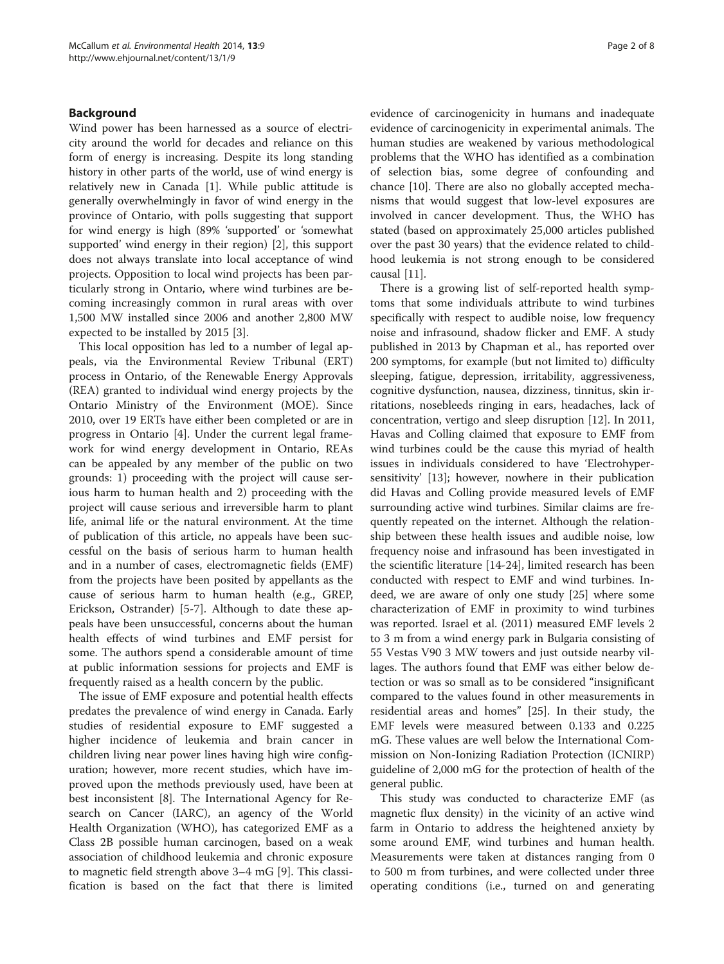## Background

Wind power has been harnessed as a source of electricity around the world for decades and reliance on this form of energy is increasing. Despite its long standing history in other parts of the world, use of wind energy is relatively new in Canada [\[1](#page-6-0)]. While public attitude is generally overwhelmingly in favor of wind energy in the province of Ontario, with polls suggesting that support for wind energy is high (89% 'supported' or 'somewhat supported' wind energy in their region) [[2\]](#page-6-0), this support does not always translate into local acceptance of wind projects. Opposition to local wind projects has been particularly strong in Ontario, where wind turbines are becoming increasingly common in rural areas with over 1,500 MW installed since 2006 and another 2,800 MW expected to be installed by 2015 [[3\]](#page-6-0).

This local opposition has led to a number of legal appeals, via the Environmental Review Tribunal (ERT) process in Ontario, of the Renewable Energy Approvals (REA) granted to individual wind energy projects by the Ontario Ministry of the Environment (MOE). Since 2010, over 19 ERTs have either been completed or are in progress in Ontario [\[4\]](#page-6-0). Under the current legal framework for wind energy development in Ontario, REAs can be appealed by any member of the public on two grounds: 1) proceeding with the project will cause serious harm to human health and 2) proceeding with the project will cause serious and irreversible harm to plant life, animal life or the natural environment. At the time of publication of this article, no appeals have been successful on the basis of serious harm to human health and in a number of cases, electromagnetic fields (EMF) from the projects have been posited by appellants as the cause of serious harm to human health (e.g., GREP, Erickson, Ostrander) [\[5-7\]](#page-6-0). Although to date these appeals have been unsuccessful, concerns about the human health effects of wind turbines and EMF persist for some. The authors spend a considerable amount of time at public information sessions for projects and EMF is frequently raised as a health concern by the public.

The issue of EMF exposure and potential health effects predates the prevalence of wind energy in Canada. Early studies of residential exposure to EMF suggested a higher incidence of leukemia and brain cancer in children living near power lines having high wire configuration; however, more recent studies, which have improved upon the methods previously used, have been at best inconsistent [\[8\]](#page-6-0). The International Agency for Research on Cancer (IARC), an agency of the World Health Organization (WHO), has categorized EMF as a Class 2B possible human carcinogen, based on a weak association of childhood leukemia and chronic exposure to magnetic field strength above 3–4 mG [\[9](#page-6-0)]. This classification is based on the fact that there is limited evidence of carcinogenicity in humans and inadequate evidence of carcinogenicity in experimental animals. The human studies are weakened by various methodological problems that the WHO has identified as a combination of selection bias, some degree of confounding and chance [[10](#page-6-0)]. There are also no globally accepted mechanisms that would suggest that low-level exposures are involved in cancer development. Thus, the WHO has stated (based on approximately 25,000 articles published over the past 30 years) that the evidence related to childhood leukemia is not strong enough to be considered causal [[11](#page-6-0)].

There is a growing list of self-reported health symptoms that some individuals attribute to wind turbines specifically with respect to audible noise, low frequency noise and infrasound, shadow flicker and EMF. A study published in 2013 by Chapman et al., has reported over 200 symptoms, for example (but not limited to) difficulty sleeping, fatigue, depression, irritability, aggressiveness, cognitive dysfunction, nausea, dizziness, tinnitus, skin irritations, nosebleeds ringing in ears, headaches, lack of concentration, vertigo and sleep disruption [\[12\]](#page-6-0). In 2011, Havas and Colling claimed that exposure to EMF from wind turbines could be the cause this myriad of health issues in individuals considered to have 'Electrohypersensitivity' [[13\]](#page-6-0); however, nowhere in their publication did Havas and Colling provide measured levels of EMF surrounding active wind turbines. Similar claims are frequently repeated on the internet. Although the relationship between these health issues and audible noise, low frequency noise and infrasound has been investigated in the scientific literature [[14-](#page-6-0)[24](#page-7-0)], limited research has been conducted with respect to EMF and wind turbines. Indeed, we are aware of only one study [\[25](#page-7-0)] where some characterization of EMF in proximity to wind turbines was reported. Israel et al. (2011) measured EMF levels 2 to 3 m from a wind energy park in Bulgaria consisting of 55 Vestas V90 3 MW towers and just outside nearby villages. The authors found that EMF was either below detection or was so small as to be considered "insignificant compared to the values found in other measurements in residential areas and homes" [\[25](#page-7-0)]. In their study, the EMF levels were measured between 0.133 and 0.225 mG. These values are well below the International Commission on Non-Ionizing Radiation Protection (ICNIRP) guideline of 2,000 mG for the protection of health of the general public.

This study was conducted to characterize EMF (as magnetic flux density) in the vicinity of an active wind farm in Ontario to address the heightened anxiety by some around EMF, wind turbines and human health. Measurements were taken at distances ranging from 0 to 500 m from turbines, and were collected under three operating conditions (i.e., turned on and generating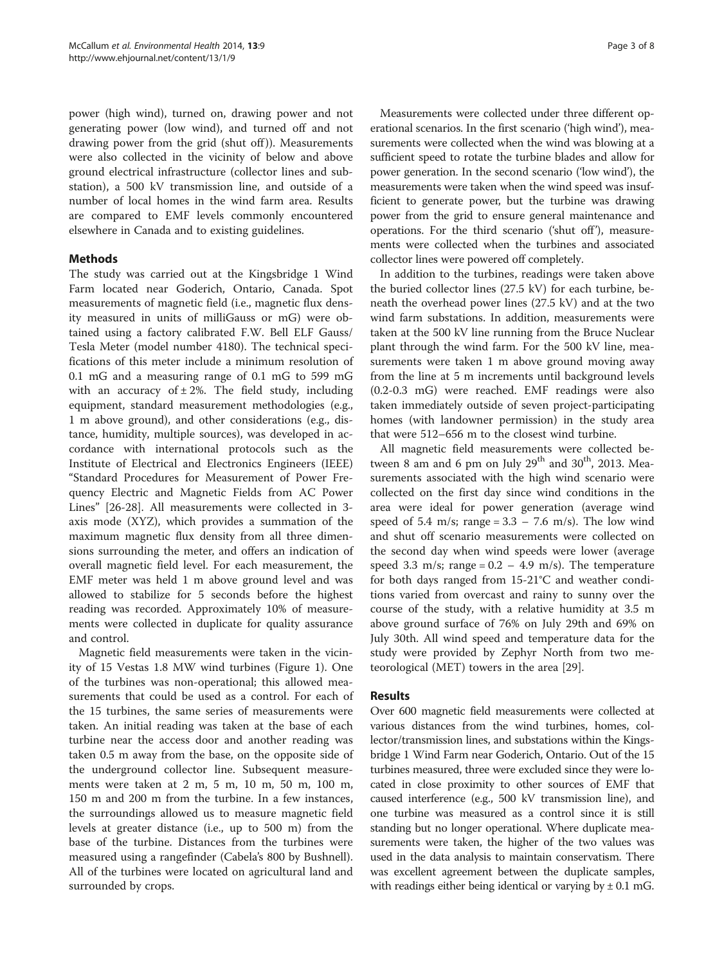power (high wind), turned on, drawing power and not generating power (low wind), and turned off and not drawing power from the grid (shut off)). Measurements were also collected in the vicinity of below and above ground electrical infrastructure (collector lines and substation), a 500 kV transmission line, and outside of a number of local homes in the wind farm area. Results are compared to EMF levels commonly encountered elsewhere in Canada and to existing guidelines.

# **Methods**

The study was carried out at the Kingsbridge 1 Wind Farm located near Goderich, Ontario, Canada. Spot measurements of magnetic field (i.e., magnetic flux density measured in units of milliGauss or mG) were obtained using a factory calibrated F.W. Bell ELF Gauss/ Tesla Meter (model number 4180). The technical specifications of this meter include a minimum resolution of 0.1 mG and a measuring range of 0.1 mG to 599 mG with an accuracy of  $\pm 2\%$ . The field study, including equipment, standard measurement methodologies (e.g., 1 m above ground), and other considerations (e.g., distance, humidity, multiple sources), was developed in accordance with international protocols such as the Institute of Electrical and Electronics Engineers (IEEE) "Standard Procedures for Measurement of Power Frequency Electric and Magnetic Fields from AC Power Lines" [[26-28](#page-7-0)]. All measurements were collected in 3 axis mode (XYZ), which provides a summation of the maximum magnetic flux density from all three dimensions surrounding the meter, and offers an indication of overall magnetic field level. For each measurement, the EMF meter was held 1 m above ground level and was allowed to stabilize for 5 seconds before the highest reading was recorded. Approximately 10% of measurements were collected in duplicate for quality assurance and control.

Magnetic field measurements were taken in the vicinity of 15 Vestas 1.8 MW wind turbines (Figure [1\)](#page-3-0). One of the turbines was non-operational; this allowed measurements that could be used as a control. For each of the 15 turbines, the same series of measurements were taken. An initial reading was taken at the base of each turbine near the access door and another reading was taken 0.5 m away from the base, on the opposite side of the underground collector line. Subsequent measurements were taken at 2 m, 5 m, 10 m, 50 m, 100 m, 150 m and 200 m from the turbine. In a few instances, the surroundings allowed us to measure magnetic field levels at greater distance (i.e., up to 500 m) from the base of the turbine. Distances from the turbines were measured using a rangefinder (Cabela's 800 by Bushnell). All of the turbines were located on agricultural land and surrounded by crops.

Measurements were collected under three different operational scenarios. In the first scenario ('high wind'), measurements were collected when the wind was blowing at a sufficient speed to rotate the turbine blades and allow for power generation. In the second scenario ('low wind'), the measurements were taken when the wind speed was insufficient to generate power, but the turbine was drawing power from the grid to ensure general maintenance and operations. For the third scenario ('shut off'), measurements were collected when the turbines and associated collector lines were powered off completely.

In addition to the turbines, readings were taken above the buried collector lines (27.5 kV) for each turbine, beneath the overhead power lines (27.5 kV) and at the two wind farm substations. In addition, measurements were taken at the 500 kV line running from the Bruce Nuclear plant through the wind farm. For the 500 kV line, measurements were taken 1 m above ground moving away from the line at 5 m increments until background levels (0.2-0.3 mG) were reached. EMF readings were also taken immediately outside of seven project-participating homes (with landowner permission) in the study area that were 512–656 m to the closest wind turbine.

All magnetic field measurements were collected between 8 am and 6 pm on July  $29<sup>th</sup>$  and  $30<sup>th</sup>$ , 2013. Measurements associated with the high wind scenario were collected on the first day since wind conditions in the area were ideal for power generation (average wind speed of 5.4 m/s; range =  $3.3 - 7.6$  m/s). The low wind and shut off scenario measurements were collected on the second day when wind speeds were lower (average speed 3.3 m/s; range =  $0.2 - 4.9$  m/s). The temperature for both days ranged from 15-21°C and weather conditions varied from overcast and rainy to sunny over the course of the study, with a relative humidity at 3.5 m above ground surface of 76% on July 29th and 69% on July 30th. All wind speed and temperature data for the study were provided by Zephyr North from two meteorological (MET) towers in the area [[29](#page-7-0)].

# Results

Over 600 magnetic field measurements were collected at various distances from the wind turbines, homes, collector/transmission lines, and substations within the Kingsbridge 1 Wind Farm near Goderich, Ontario. Out of the 15 turbines measured, three were excluded since they were located in close proximity to other sources of EMF that caused interference (e.g., 500 kV transmission line), and one turbine was measured as a control since it is still standing but no longer operational. Where duplicate measurements were taken, the higher of the two values was used in the data analysis to maintain conservatism. There was excellent agreement between the duplicate samples, with readings either being identical or varying by  $\pm$  0.1 mG.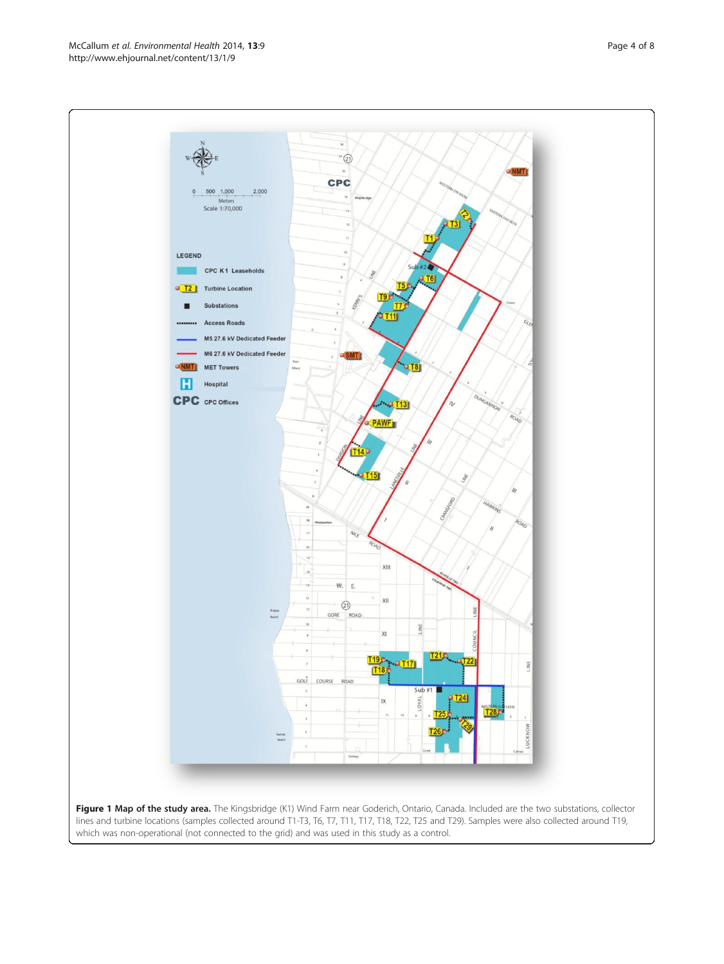lines and turbine locations (samples collected around T1-T3, T6, T7, T11, T17, T18, T22, T25 and T29). Samples were also collected around T19, which was non-operational (not connected to the grid) and was used in this study as a control.

<span id="page-3-0"></span>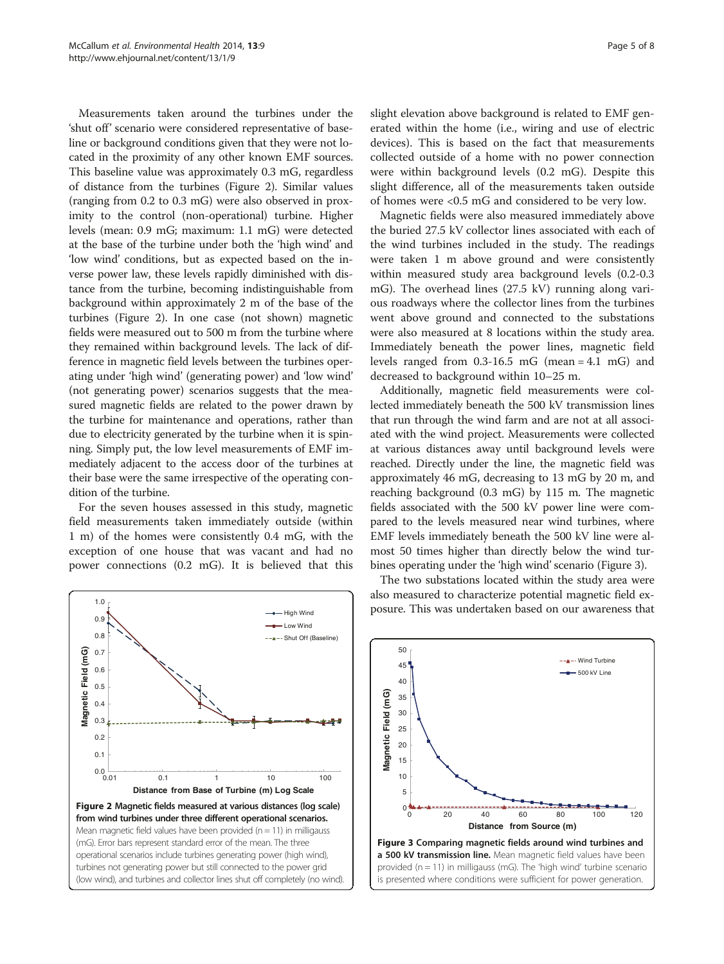Measurements taken around the turbines under the 'shut off' scenario were considered representative of baseline or background conditions given that they were not located in the proximity of any other known EMF sources. This baseline value was approximately 0.3 mG, regardless of distance from the turbines (Figure 2). Similar values (ranging from 0.2 to 0.3 mG) were also observed in proximity to the control (non-operational) turbine. Higher levels (mean: 0.9 mG; maximum: 1.1 mG) were detected at the base of the turbine under both the 'high wind' and 'low wind' conditions, but as expected based on the inverse power law, these levels rapidly diminished with distance from the turbine, becoming indistinguishable from background within approximately 2 m of the base of the turbines (Figure 2). In one case (not shown) magnetic fields were measured out to 500 m from the turbine where they remained within background levels. The lack of difference in magnetic field levels between the turbines operating under 'high wind' (generating power) and 'low wind' (not generating power) scenarios suggests that the measured magnetic fields are related to the power drawn by the turbine for maintenance and operations, rather than due to electricity generated by the turbine when it is spinning. Simply put, the low level measurements of EMF immediately adjacent to the access door of the turbines at their base were the same irrespective of the operating condition of the turbine.

For the seven houses assessed in this study, magnetic field measurements taken immediately outside (within 1 m) of the homes were consistently 0.4 mG, with the exception of one house that was vacant and had no power connections (0.2 mG). It is believed that this



slight elevation above background is related to EMF generated within the home (i.e., wiring and use of electric devices). This is based on the fact that measurements collected outside of a home with no power connection were within background levels (0.2 mG). Despite this slight difference, all of the measurements taken outside of homes were <0.5 mG and considered to be very low.

Magnetic fields were also measured immediately above the buried 27.5 kV collector lines associated with each of the wind turbines included in the study. The readings were taken 1 m above ground and were consistently within measured study area background levels (0.2-0.3 mG). The overhead lines (27.5 kV) running along various roadways where the collector lines from the turbines went above ground and connected to the substations were also measured at 8 locations within the study area. Immediately beneath the power lines, magnetic field levels ranged from 0.3-16.5 mG (mean = 4.1 mG) and decreased to background within 10–25 m.

Additionally, magnetic field measurements were collected immediately beneath the 500 kV transmission lines that run through the wind farm and are not at all associated with the wind project. Measurements were collected at various distances away until background levels were reached. Directly under the line, the magnetic field was approximately 46 mG, decreasing to 13 mG by 20 m, and reaching background (0.3 mG) by 115 m. The magnetic fields associated with the 500 kV power line were compared to the levels measured near wind turbines, where EMF levels immediately beneath the 500 kV line were almost 50 times higher than directly below the wind turbines operating under the 'high wind' scenario (Figure 3).

The two substations located within the study area were also measured to characterize potential magnetic field exposure. This was undertaken based on our awareness that

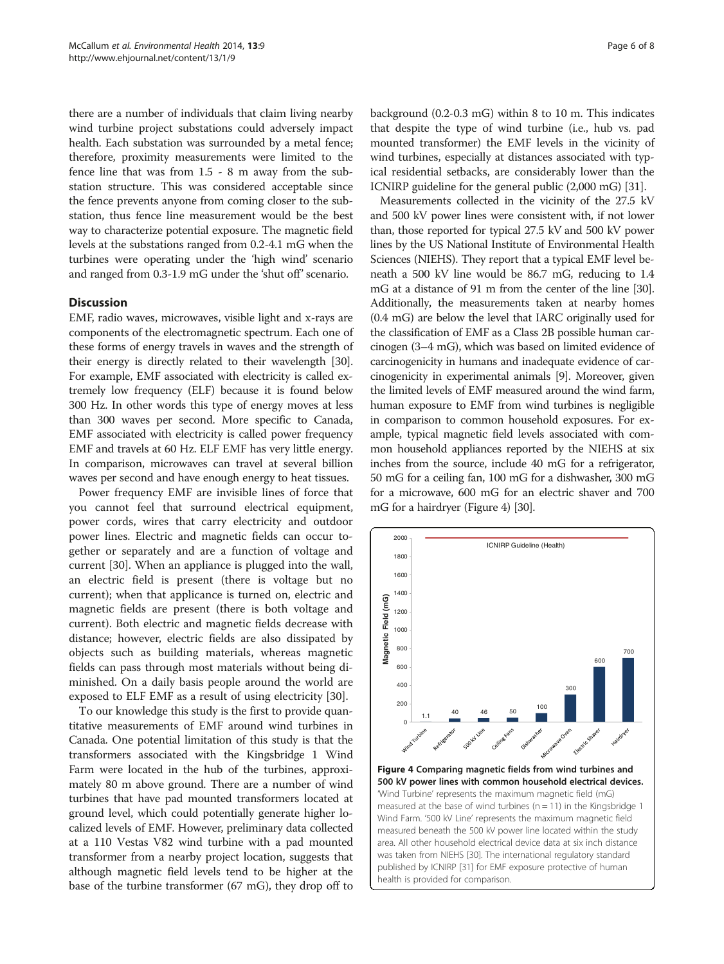<span id="page-5-0"></span>there are a number of individuals that claim living nearby wind turbine project substations could adversely impact health. Each substation was surrounded by a metal fence; therefore, proximity measurements were limited to the fence line that was from 1.5 - 8 m away from the substation structure. This was considered acceptable since the fence prevents anyone from coming closer to the substation, thus fence line measurement would be the best way to characterize potential exposure. The magnetic field levels at the substations ranged from 0.2-4.1 mG when the turbines were operating under the 'high wind' scenario and ranged from 0.3-1.9 mG under the 'shut off' scenario.

## **Discussion**

EMF, radio waves, microwaves, visible light and x-rays are components of the electromagnetic spectrum. Each one of these forms of energy travels in waves and the strength of their energy is directly related to their wavelength [[30](#page-7-0)]. For example, EMF associated with electricity is called extremely low frequency (ELF) because it is found below 300 Hz. In other words this type of energy moves at less than 300 waves per second. More specific to Canada, EMF associated with electricity is called power frequency EMF and travels at 60 Hz. ELF EMF has very little energy. In comparison, microwaves can travel at several billion waves per second and have enough energy to heat tissues.

Power frequency EMF are invisible lines of force that you cannot feel that surround electrical equipment, power cords, wires that carry electricity and outdoor power lines. Electric and magnetic fields can occur together or separately and are a function of voltage and current [[30\]](#page-7-0). When an appliance is plugged into the wall, an electric field is present (there is voltage but no current); when that applicance is turned on, electric and magnetic fields are present (there is both voltage and current). Both electric and magnetic fields decrease with distance; however, electric fields are also dissipated by objects such as building materials, whereas magnetic fields can pass through most materials without being diminished. On a daily basis people around the world are exposed to ELF EMF as a result of using electricity [[30](#page-7-0)].

To our knowledge this study is the first to provide quantitative measurements of EMF around wind turbines in Canada. One potential limitation of this study is that the transformers associated with the Kingsbridge 1 Wind Farm were located in the hub of the turbines, approximately 80 m above ground. There are a number of wind turbines that have pad mounted transformers located at ground level, which could potentially generate higher localized levels of EMF. However, preliminary data collected at a 110 Vestas V82 wind turbine with a pad mounted transformer from a nearby project location, suggests that although magnetic field levels tend to be higher at the base of the turbine transformer (67 mG), they drop off to background (0.2-0.3 mG) within 8 to 10 m. This indicates that despite the type of wind turbine (i.e., hub vs. pad mounted transformer) the EMF levels in the vicinity of wind turbines, especially at distances associated with typical residential setbacks, are considerably lower than the ICNIRP guideline for the general public (2,000 mG) [\[31\]](#page-7-0).

Measurements collected in the vicinity of the 27.5 kV and 500 kV power lines were consistent with, if not lower than, those reported for typical 27.5 kV and 500 kV power lines by the US National Institute of Environmental Health Sciences (NIEHS). They report that a typical EMF level beneath a 500 kV line would be 86.7 mG, reducing to 1.4 mG at a distance of 91 m from the center of the line [[30](#page-7-0)]. Additionally, the measurements taken at nearby homes (0.4 mG) are below the level that IARC originally used for the classification of EMF as a Class 2B possible human carcinogen (3–4 mG), which was based on limited evidence of carcinogenicity in humans and inadequate evidence of carcinogenicity in experimental animals [\[9\]](#page-6-0). Moreover, given the limited levels of EMF measured around the wind farm, human exposure to EMF from wind turbines is negligible in comparison to common household exposures. For example, typical magnetic field levels associated with common household appliances reported by the NIEHS at six inches from the source, include 40 mG for a refrigerator, 50 mG for a ceiling fan, 100 mG for a dishwasher, 300 mG for a microwave, 600 mG for an electric shaver and 700 mG for a hairdryer (Figure 4) [[30](#page-7-0)].

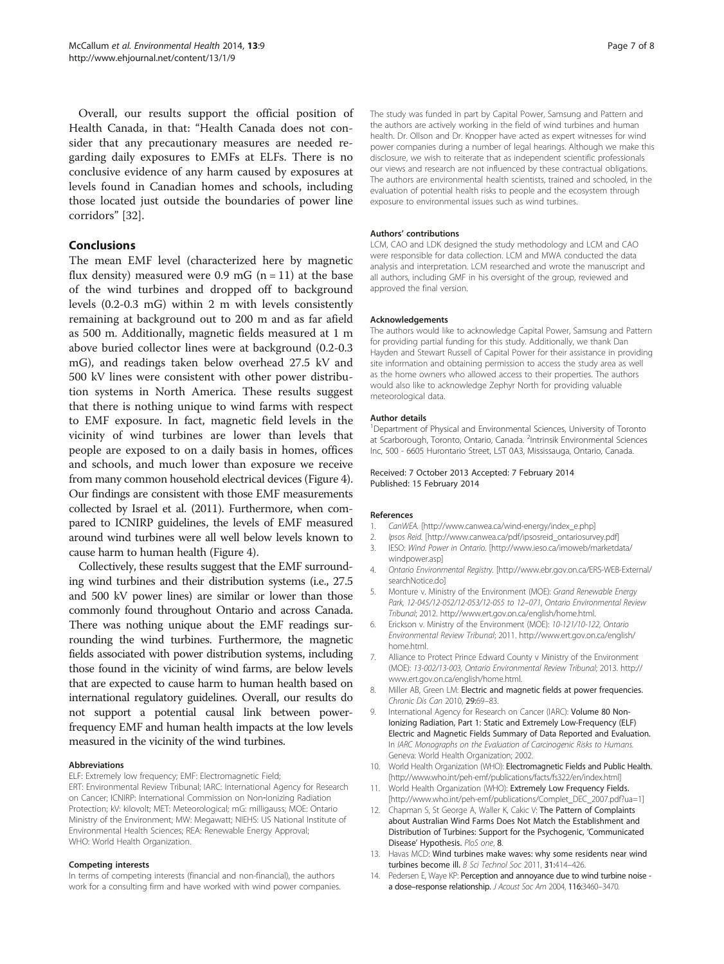<span id="page-6-0"></span>Overall, our results support the official position of Health Canada, in that: "Health Canada does not consider that any precautionary measures are needed regarding daily exposures to EMFs at ELFs. There is no conclusive evidence of any harm caused by exposures at levels found in Canadian homes and schools, including those located just outside the boundaries of power line corridors" [[32](#page-7-0)].

# Conclusions

The mean EMF level (characterized here by magnetic flux density) measured were 0.9 mG  $(n = 11)$  at the base of the wind turbines and dropped off to background levels (0.2-0.3 mG) within 2 m with levels consistently remaining at background out to 200 m and as far afield as 500 m. Additionally, magnetic fields measured at 1 m above buried collector lines were at background (0.2-0.3 mG), and readings taken below overhead 27.5 kV and 500 kV lines were consistent with other power distribution systems in North America. These results suggest that there is nothing unique to wind farms with respect to EMF exposure. In fact, magnetic field levels in the vicinity of wind turbines are lower than levels that people are exposed to on a daily basis in homes, offices and schools, and much lower than exposure we receive from many common household electrical devices (Figure [4](#page-5-0)). Our findings are consistent with those EMF measurements collected by Israel et al. (2011). Furthermore, when compared to ICNIRP guidelines, the levels of EMF measured around wind turbines were all well below levels known to cause harm to human health (Figure [4\)](#page-5-0).

Collectively, these results suggest that the EMF surrounding wind turbines and their distribution systems (i.e., 27.5 and 500 kV power lines) are similar or lower than those commonly found throughout Ontario and across Canada. There was nothing unique about the EMF readings surrounding the wind turbines. Furthermore, the magnetic fields associated with power distribution systems, including those found in the vicinity of wind farms, are below levels that are expected to cause harm to human health based on international regulatory guidelines. Overall, our results do not support a potential causal link between powerfrequency EMF and human health impacts at the low levels measured in the vicinity of the wind turbines.

#### Abbreviations

ELF: Extremely low frequency; EMF: Electromagnetic Field; ERT: Environmental Review Tribunal; IARC: International Agency for Research

#### Competing interests

In terms of competing interests (financial and non-financial), the authors work for a consulting firm and have worked with wind power companies.

The study was funded in part by Capital Power, Samsung and Pattern and the authors are actively working in the field of wind turbines and human health. Dr. Ollson and Dr. Knopper have acted as expert witnesses for wind power companies during a number of legal hearings. Although we make this disclosure, we wish to reiterate that as independent scientific professionals our views and research are not influenced by these contractual obligations. The authors are environmental health scientists, trained and schooled, in the evaluation of potential health risks to people and the ecosystem through exposure to environmental issues such as wind turbines.

#### Authors' contributions

LCM, CAO and LDK designed the study methodology and LCM and CAO were responsible for data collection. LCM and MWA conducted the data analysis and interpretation. LCM researched and wrote the manuscript and all authors, including GMF in his oversight of the group, reviewed and approved the final version.

#### Acknowledgements

The authors would like to acknowledge Capital Power, Samsung and Pattern for providing partial funding for this study. Additionally, we thank Dan Hayden and Stewart Russell of Capital Power for their assistance in providing site information and obtaining permission to access the study area as well as the home owners who allowed access to their properties. The authors would also like to acknowledge Zephyr North for providing valuable meteorological data.

#### Author details

<sup>1</sup>Department of Physical and Environmental Sciences, University of Toronto at Scarborough, Toronto, Ontario, Canada. <sup>2</sup>Intrinsik Environmental Sciences Inc, 500 - 6605 Hurontario Street, L5T 0A3, Mississauga, Ontario, Canada.

Received: 7 October 2013 Accepted: 7 February 2014 Published: 15 February 2014

#### References

- CanWEA. [[http://www.canwea.ca/wind-energy/index\\_e.php\]](http://www.canwea.ca/wind-energy/index_e.php)
- 2. Ipsos Reid. [[http://www.canwea.ca/pdf/ipsosreid\\_ontariosurvey.pdf\]](http://www.canwea.ca/pdf/ipsosreid_ontariosurvey.pdf)
- 3. IESO: Wind Power in Ontario. [\[http://www.ieso.ca/imoweb/marketdata/](http://www.ieso.ca/imoweb/marketdata/windpower.asp) [windpower.asp](http://www.ieso.ca/imoweb/marketdata/windpower.asp)]
- 4. Ontario Environmental Registry. [\[http://www.ebr.gov.on.ca/ERS-WEB-External/](http://www.ebr.gov.on.ca/ERS-WEB-External/searchNotice.do) [searchNotice.do](http://www.ebr.gov.on.ca/ERS-WEB-External/searchNotice.do)]
- 5. Monture v. Ministry of the Environment (MOE): Grand Renewable Energy Park, 12-045/12-052/12-053/12-055 to 12–071, Ontario Environmental Review Tribunal; 2012.<http://www.ert.gov.on.ca/english/home.html>.
- 6. Erickson v. Ministry of the Environment (MOE): 10-121/10-122, Ontario Environmental Review Tribunal; 2011. [http://www.ert.gov.on.ca/english/](http://www.ert.gov.on.ca/english/home.html) [home.html.](http://www.ert.gov.on.ca/english/home.html)
- 7. Alliance to Protect Prince Edward County v Ministry of the Environment (MOE): 13-002/13-003, Ontario Environmental Review Tribunal; 2013. [http://](http://www.ert.gov.on.ca/english/home.html) [www.ert.gov.on.ca/english/home.html.](http://www.ert.gov.on.ca/english/home.html)
- 8. Miller AB, Green LM: Electric and magnetic fields at power frequencies. Chronic Dis Can 2010, 29:69–83.
- 9. International Agency for Research on Cancer (IARC): Volume 80 Non-Ionizing Radiation, Part 1: Static and Extremely Low-Frequency (ELF) Electric and Magnetic Fields Summary of Data Reported and Evaluation. In IARC Monographs on the Evaluation of Carcinogenic Risks to Humans. Geneva: World Health Organization; 2002.
- 10. World Health Organization (WHO): Electromagnetic Fields and Public Health. [[http://www.who.int/peh-emf/publications/facts/fs322/en/index.html\]](http://www.who.int/peh-emf/publications/facts/fs322/en/index.html)
- 11. World Health Organization (WHO): Extremely Low Frequency Fields. [[http://www.who.int/peh-emf/publications/Complet\\_DEC\\_2007.pdf?ua=1\]](http://www.who.int/peh-emf/publications/Complet_DEC_2007.pdf?ua=1)
- 12. Chapman S, St George A, Waller K, Cakic V: The Pattern of Complaints about Australian Wind Farms Does Not Match the Establishment and Distribution of Turbines: Support for the Psychogenic, 'Communicated Disease' Hypothesis. PloS one, 8.
- 13. Havas MCD: Wind turbines make waves: why some residents near wind turbines become ill. B Sci Technol Soc 2011, 31:414–426.
- 14. Pedersen E, Waye KP: Perception and annoyance due to wind turbine noise a dose–response relationship. J Acoust Soc Am 2004, 116:3460–3470.

on Cancer; ICNIRP: International Commission on Non‐Ionizing Radiation Protection; kV: kilovolt; MET: Meteorological; mG: milligauss; MOE: Ontario Ministry of the Environment; MW: Megawatt; NIEHS: US National Institute of Environmental Health Sciences; REA: Renewable Energy Approval; WHO: World Health Organization.